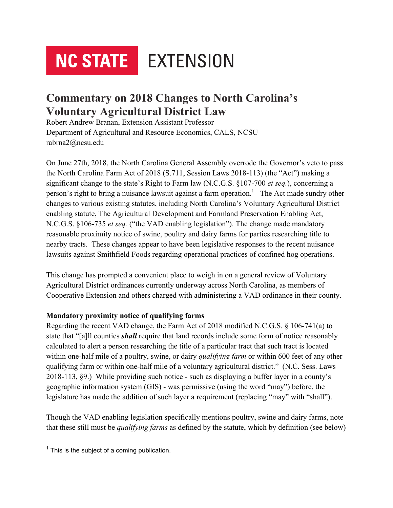# **NC STATE** EXTENSION

# **Commentary on 2018 Changes to North Carolina's Voluntary Agricultural District Law**

Robert Andrew Branan, Extension Assistant Professor Department of Agricultural and Resource Economics, CALS, NCSU rabrna2@ncsu.edu

On June 27th, 2018, the North Carolina General Assembly overrode the Governor's veto to pass the North Carolina Farm Act of 2018 (S.711, Session Laws 2018-113) (the "Act") making a significant change to the state's Right to Farm law (N.C.G.S. §107-700 *et seq.*), concerning a person's right to bring a nuisance lawsuit against a farm operation.<sup>1</sup> The Act made sundry other changes to various existing statutes, including North Carolina's Voluntary Agricultural District enabling statute, The Agricultural Development and Farmland Preservation Enabling Act, N.C.G.S. §106-735 *et seq.* ("the VAD enabling legislation")*.* The change made mandatory reasonable proximity notice of swine, poultry and dairy farms for parties researching title to nearby tracts. These changes appear to have been legislative responses to the recent nuisance lawsuits against Smithfield Foods regarding operational practices of confined hog operations.

This change has prompted a convenient place to weigh in on a general review of Voluntary Agricultural District ordinances currently underway across North Carolina, as members of Cooperative Extension and others charged with administering a VAD ordinance in their county.

## **Mandatory proximity notice of qualifying farms**

Regarding the recent VAD change, the Farm Act of 2018 modified N.C.G.S. § 106-741(a) to state that "[a]ll counties *shall* require that land records include some form of notice reasonably calculated to alert a person researching the title of a particular tract that such tract is located within one-half mile of a poultry, swine, or dairy *qualifying farm* or within 600 feet of any other qualifying farm or within one-half mile of a voluntary agricultural district." (N.C. Sess. Laws 2018-113, §9.) While providing such notice - such as displaying a buffer layer in a county's geographic information system (GIS) - was permissive (using the word "may") before, the legislature has made the addition of such layer a requirement (replacing "may" with "shall").

Though the VAD enabling legislation specifically mentions poultry, swine and dairy farms, note that these still must be *qualifying farms* as defined by the statute, which by definition (see below)

 $1$  This is the subiect of a coming publication.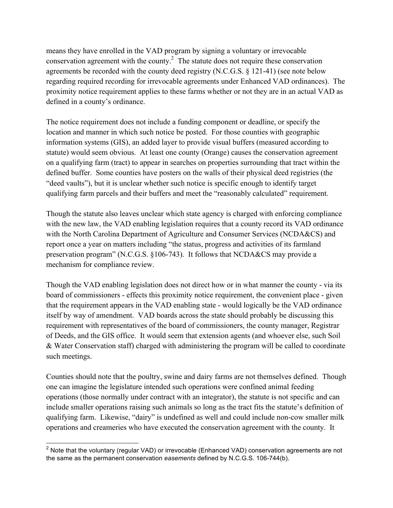means they have enrolled in the VAD program by signing a voluntary or irrevocable conservation agreement with the county. $2$  The statute does not require these conservation agreements be recorded with the county deed registry (N.C.G.S. § 121-41) (see note below regarding required recording for irrevocable agreements under Enhanced VAD ordinances). The proximity notice requirement applies to these farms whether or not they are in an actual VAD as defined in a county's ordinance.

The notice requirement does not include a funding component or deadline, or specify the location and manner in which such notice be posted. For those counties with geographic information systems (GIS), an added layer to provide visual buffers (measured according to statute) would seem obvious. At least one county (Orange) causes the conservation agreement on a qualifying farm (tract) to appear in searches on properties surrounding that tract within the defined buffer. Some counties have posters on the walls of their physical deed registries (the "deed vaults"), but it is unclear whether such notice is specific enough to identify target qualifying farm parcels and their buffers and meet the "reasonably calculated" requirement.

Though the statute also leaves unclear which state agency is charged with enforcing compliance with the new law, the VAD enabling legislation requires that a county record its VAD ordinance with the North Carolina Department of Agriculture and Consumer Services (NCDA&CS) and report once a year on matters including "the status, progress and activities of its farmland preservation program" (N.C.G.S. §106-743). It follows that NCDA&CS may provide a mechanism for compliance review.

Though the VAD enabling legislation does not direct how or in what manner the county - via its board of commissioners - effects this proximity notice requirement, the convenient place - given that the requirement appears in the VAD enabling state - would logically be the VAD ordinance itself by way of amendment. VAD boards across the state should probably be discussing this requirement with representatives of the board of commissioners, the county manager, Registrar of Deeds, and the GIS office. It would seem that extension agents (and whoever else, such Soil & Water Conservation staff) charged with administering the program will be called to coordinate such meetings.

Counties should note that the poultry, swine and dairy farms are not themselves defined. Though one can imagine the legislature intended such operations were confined animal feeding operations (those normally under contract with an integrator), the statute is not specific and can include smaller operations raising such animals so long as the tract fits the statute's definition of qualifying farm. Likewise, "dairy" is undefined as well and could include non-cow smaller milk operations and creameries who have executed the conservation agreement with the county. It

 $2$  Note that the voluntary (regular VAD) or irrevocable (Enhanced VAD) conservation agreements are not the same as the permanent conservation *easements* defined by N.C.G.S. 106-744(b).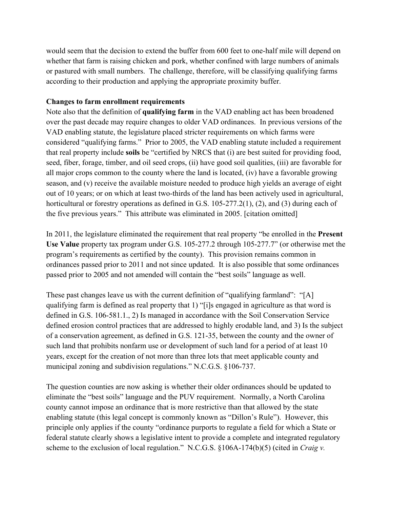would seem that the decision to extend the buffer from 600 feet to one-half mile will depend on whether that farm is raising chicken and pork, whether confined with large numbers of animals or pastured with small numbers. The challenge, therefore, will be classifying qualifying farms according to their production and applying the appropriate proximity buffer.

### **Changes to farm enrollment requirements**

Note also that the definition of **qualifying farm** in the VAD enabling act has been broadened over the past decade may require changes to older VAD ordinances. In previous versions of the VAD enabling statute, the legislature placed stricter requirements on which farms were considered "qualifying farms." Prior to 2005, the VAD enabling statute included a requirement that real property include **soils** be "certified by NRCS that (i) are best suited for providing food, seed, fiber, forage, timber, and oil seed crops, (ii) have good soil qualities, (iii) are favorable for all major crops common to the county where the land is located, (iv) have a favorable growing season, and (v) receive the available moisture needed to produce high yields an average of eight out of 10 years; or on which at least two-thirds of the land has been actively used in agricultural, horticultural or forestry operations as defined in G.S. 105-277.2(1), (2), and (3) during each of the five previous years." This attribute was eliminated in 2005. [citation omitted]

In 2011, the legislature eliminated the requirement that real property "be enrolled in the **Present Use Value** property tax program under G.S. 105-277.2 through 105-277.7" (or otherwise met the program's requirements as certified by the county). This provision remains common in ordinances passed prior to 2011 and not since updated. It is also possible that some ordinances passed prior to 2005 and not amended will contain the "best soils" language as well.

These past changes leave us with the current definition of "qualifying farmland": "[A] qualifying farm is defined as real property that 1) "[i]s engaged in agriculture as that word is defined in G.S. 106-581.1., 2) Is managed in accordance with the Soil Conservation Service defined erosion control practices that are addressed to highly erodable land, and 3) Is the subject of a conservation agreement, as defined in G.S. 121-35, between the county and the owner of such land that prohibits nonfarm use or development of such land for a period of at least 10 years, except for the creation of not more than three lots that meet applicable county and municipal zoning and subdivision regulations." N.C.G.S. §106-737.

The question counties are now asking is whether their older ordinances should be updated to eliminate the "best soils" language and the PUV requirement. Normally, a North Carolina county cannot impose an ordinance that is more restrictive than that allowed by the state enabling statute (this legal concept is commonly known as "Dillon's Rule"). However, this principle only applies if the county "ordinance purports to regulate a field for which a State or federal statute clearly shows a legislative intent to provide a complete and integrated regulatory scheme to the exclusion of local regulation." N.C.G.S. §106A-174(b)(5) (cited in *Craig v.*